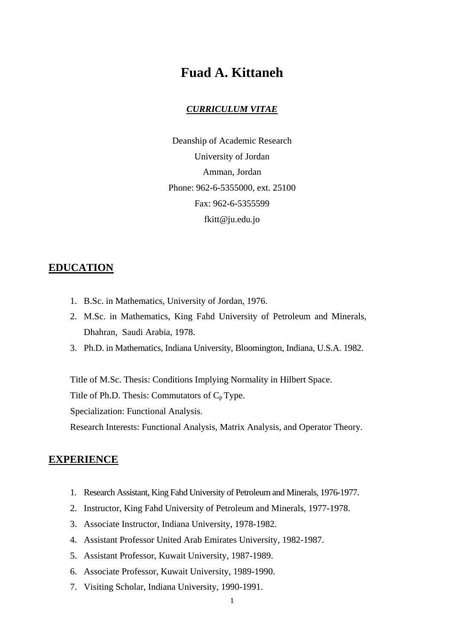# **Fuad A. Kittaneh**

#### *CURRICULUM VITAE*

Deanship of Academic Research University of Jordan Amman, Jordan Phone: 962-6-5355000, ext. 25100 Fax: 962-6-5355599 fkitt@ju.edu.jo

### **EDUCATION**

- 1. B.Sc. in Mathematics, University of Jordan, 1976.
- 2. M.Sc. in Mathematics, King Fahd University of Petroleum and Minerals, Dhahran, Saudi Arabia, 1978.
- 3. Ph.D. in Mathematics, Indiana University, Bloomington, Indiana, U.S.A. 1982.

Title of M.Sc. Thesis: Conditions Implying Normality in Hilbert Space.

Title of Ph.D. Thesis: Commutators of  $C_p$  Type.

Specialization: Functional Analysis.

Research Interests: Functional Analysis, Matrix Analysis, and Operator Theory.

#### **EXPERIENCE**

- 1. Research Assistant, King Fahd University of Petroleum and Minerals, 1976-1977.
- 2. Instructor, King Fahd University of Petroleum and Minerals, 1977-1978.
- 3. Associate Instructor, Indiana University, 1978-1982.
- 4. Assistant Professor United Arab Emirates University, 1982-1987.
- 5. Assistant Professor, Kuwait University, 1987-1989.
- 6. Associate Professor, Kuwait University, 1989-1990.
- 7. Visiting Scholar, Indiana University, 1990-1991.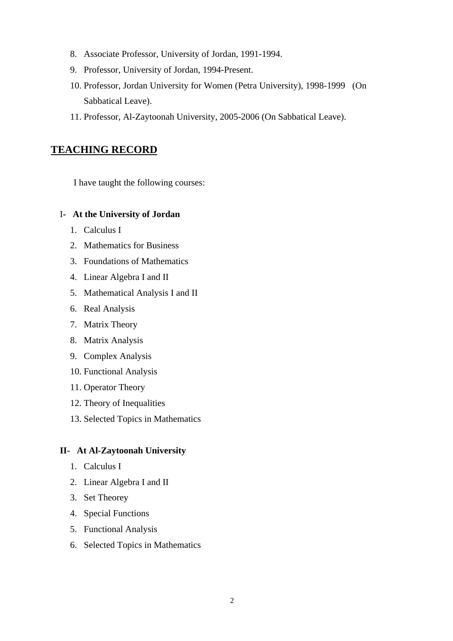- 8. Associate Professor, University of Jordan, 1991-1994.
- 9. Professor, University of Jordan, 1994-Present.
- 10. Professor, Jordan University for Women (Petra University), 1998-1999 (On Sabbatical Leave).
- 11. Professor, Al-Zaytoonah University, 2005-2006 (On Sabbatical Leave).

# **TEACHING RECORD**

I have taught the following courses:

### I**- At the University of Jordan**

- 1. Calculus I
- 2. Mathematics for Business
- 3. Foundations of Mathematics
- 4. Linear Algebra I and II
- 5. Mathematical Analysis I and II
- 6. Real Analysis
- 7. Matrix Theory
- 8. Matrix Analysis
- 9. Complex Analysis
- 10. Functional Analysis
- 11. Operator Theory
- 12. Theory of Inequalities
- 13. Selected Topics in Mathematics

## **II- At Al-Zaytoonah University**

- 1. Calculus I
- 2. Linear Algebra I and II
- 3. Set Theorey
- 4. Special Functions
- 5. Functional Analysis
- 6. Selected Topics in Mathematics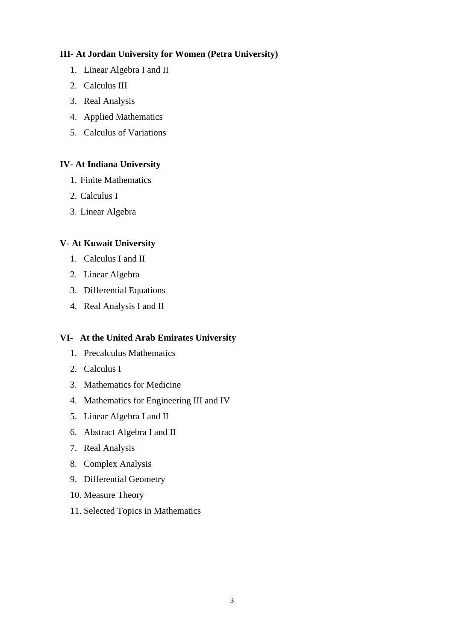# **III- At Jordan University for Women (Petra University)**

- 1. Linear Algebra I and II
- 2. Calculus III
- 3. Real Analysis
- 4. Applied Mathematics
- 5. Calculus of Variations

# **IV- At Indiana University**

- 1. Finite Mathematics
- 2. Calculus I
- 3. Linear Algebra

# **V- At Kuwait University**

- 1. Calculus I and II
- 2. Linear Algebra
- 3. Differential Equations
- 4. Real Analysis I and II

## **VI- At the United Arab Emirates University**

- 1. Precalculus Mathematics
- 2. Calculus I
- 3. Mathematics for Medicine
- 4. Mathematics for Engineering III and IV
- 5. Linear Algebra I and II
- 6. Abstract Algebra I and II
- 7. Real Analysis
- 8. Complex Analysis
- 9. Differential Geometry
- 10. Measure Theory
- 11. Selected Topics in Mathematics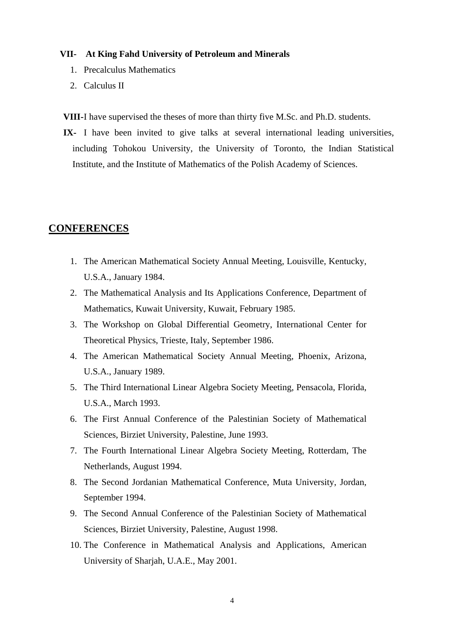#### **VII- At King Fahd University of Petroleum and Minerals**

- 1. Precalculus Mathematics
- 2. Calculus II

**VIII-**I have supervised the theses of more than thirty five M.Sc. and Ph.D. students.

**IX-** I have been invited to give talks at several international leading universities, including Tohokou University, the University of Toronto, the Indian Statistical Institute, and the Institute of Mathematics of the Polish Academy of Sciences.

# **CONFERENCES**

- 1. The American Mathematical Society Annual Meeting, Louisville, Kentucky, U.S.A., January 1984.
- 2. The Mathematical Analysis and Its Applications Conference, Department of Mathematics, Kuwait University, Kuwait, February 1985.
- 3. The Workshop on Global Differential Geometry, International Center for Theoretical Physics, Trieste, Italy, September 1986.
- 4. The American Mathematical Society Annual Meeting, Phoenix, Arizona, U.S.A., January 1989.
- 5. The Third International Linear Algebra Society Meeting, Pensacola, Florida, U.S.A., March 1993.
- 6. The First Annual Conference of the Palestinian Society of Mathematical Sciences, Birziet University, Palestine, June 1993.
- 7. The Fourth International Linear Algebra Society Meeting, Rotterdam, The Netherlands, August 1994.
- 8. The Second Jordanian Mathematical Conference, Muta University, Jordan, September 1994.
- 9. The Second Annual Conference of the Palestinian Society of Mathematical Sciences, Birziet University, Palestine, August 1998.
- 10. The Conference in Mathematical Analysis and Applications, American University of Sharjah, U.A.E., May 2001.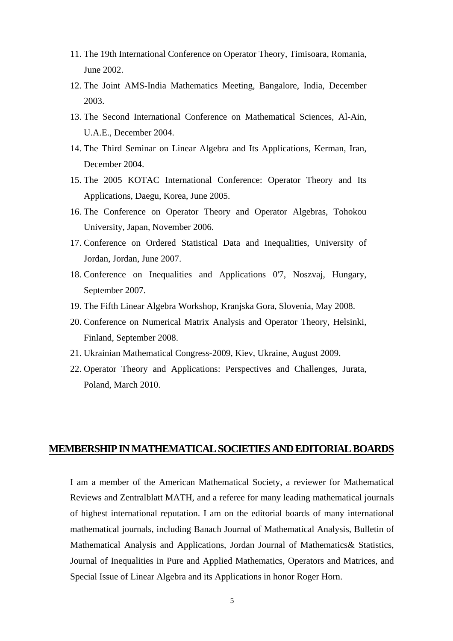- 11. The 19th International Conference on Operator Theory, Timisoara, Romania, June 2002.
- 12. The Joint AMS-India Mathematics Meeting, Bangalore, India, December 2003.
- 13. The Second International Conference on Mathematical Sciences, Al-Ain, U.A.E., December 2004.
- 14. The Third Seminar on Linear Algebra and Its Applications, Kerman, Iran, December 2004.
- 15. The 2005 KOTAC International Conference: Operator Theory and Its Applications, Daegu, Korea, June 2005.
- 16. The Conference on Operator Theory and Operator Algebras, Tohokou University, Japan, November 2006.
- 17. Conference on Ordered Statistical Data and Inequalities, University of Jordan, Jordan, June 2007.
- 18. Conference on Inequalities and Applications 0'7, Noszvaj, Hungary, September 2007.
- 19. The Fifth Linear Algebra Workshop, Kranjska Gora, Slovenia, May 2008.
- 20. Conference on Numerical Matrix Analysis and Operator Theory, Helsinki, Finland, September 2008.
- 21. Ukrainian Mathematical Congress-2009, Kiev, Ukraine, August 2009.
- 22. Operator Theory and Applications: Perspectives and Challenges, Jurata, Poland, March 2010.

## **MEMBERSHIP IN MATHEMATICAL SOCIETIES AND EDITORIAL BOARDS**

I am a member of the American Mathematical Society, a reviewer for Mathematical Reviews and Zentralblatt MATH, and a referee for many leading mathematical journals of highest international reputation. I am on the editorial boards of many international mathematical journals, including Banach Journal of Mathematical Analysis, Bulletin of Mathematical Analysis and Applications, Jordan Journal of Mathematics& Statistics, Journal of Inequalities in Pure and Applied Mathematics, Operators and Matrices, and Special Issue of Linear Algebra and its Applications in honor Roger Horn.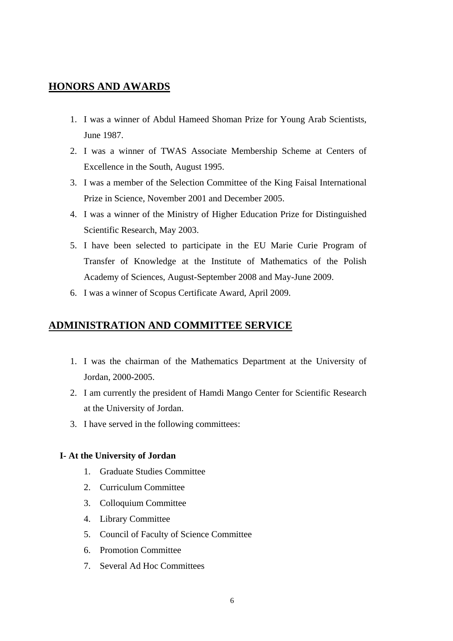# **HONORS AND AWARDS**

- 1. I was a winner of Abdul Hameed Shoman Prize for Young Arab Scientists, June 1987.
- 2. I was a winner of TWAS Associate Membership Scheme at Centers of Excellence in the South, August 1995.
- 3. I was a member of the Selection Committee of the King Faisal International Prize in Science, November 2001 and December 2005.
- 4. I was a winner of the Ministry of Higher Education Prize for Distinguished Scientific Research, May 2003.
- 5. I have been selected to participate in the EU Marie Curie Program of Transfer of Knowledge at the Institute of Mathematics of the Polish Academy of Sciences, August-September 2008 and May-June 2009.
- 6. I was a winner of Scopus Certificate Award, April 2009.

# **ADMINISTRATION AND COMMITTEE SERVICE**

- 1. I was the chairman of the Mathematics Department at the University of Jordan, 2000-2005.
- 2. I am currently the president of Hamdi Mango Center for Scientific Research at the University of Jordan.
- 3. I have served in the following committees:

#### **I- At the University of Jordan**

- 1. Graduate Studies Committee
- 2. Curriculum Committee
- 3. Colloquium Committee
- 4. Library Committee
- 5. Council of Faculty of Science Committee
- 6. Promotion Committee
- 7. Several Ad Hoc Committees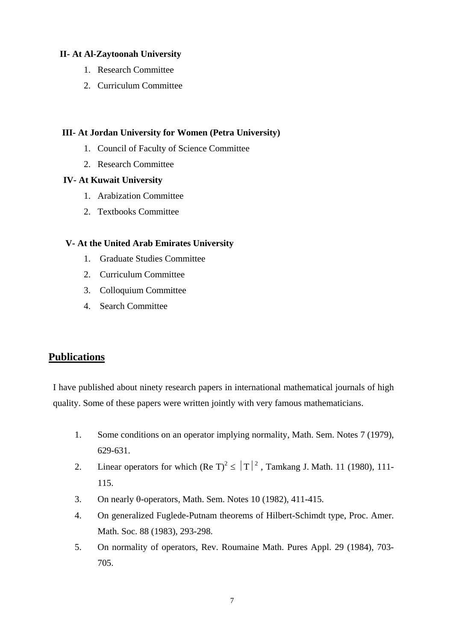## **II- At Al-Zaytoonah University**

- 1. Research Committee
- 2. Curriculum Committee

## **III- At Jordan University for Women (Petra University)**

- 1. Council of Faculty of Science Committee
- 2. Research Committee

### **IV- At Kuwait University**

- 1. Arabization Committee
- 2. Textbooks Committee

## **V- At the United Arab Emirates University**

- 1. Graduate Studies Committee
- 2. Curriculum Committee
- 3. Colloquium Committee
- 4. Search Committee

# **Publications**

I have published about ninety research papers in international mathematical journals of high quality. Some of these papers were written jointly with very famous mathematicians.

- 1. Some conditions on an operator implying normality, Math. Sem. Notes 7 (1979), 629-631.
- 2. Linear operators for which  $(Re T)^2 \le |T|^2$ , Tamkang J. Math. 11 (1980), 111-115.
- 3. On nearly θ-operators, Math. Sem. Notes 10 (1982), 411-415.
- 4. On generalized Fuglede-Putnam theorems of Hilbert-Schimdt type, Proc. Amer. Math. Soc. 88 (1983), 293-298.
- 5. On normality of operators, Rev. Roumaine Math. Pures Appl. 29 (1984), 703- 705.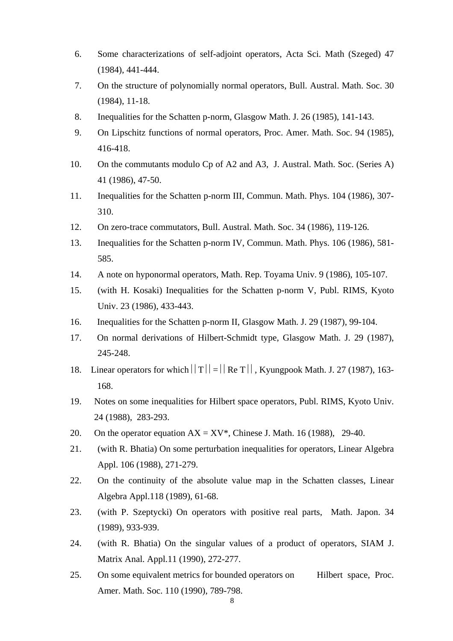- 6. Some characterizations of self-adjoint operators, Acta Sci. Math (Szeged) 47 (1984), 441-444.
- 7. On the structure of polynomially normal operators, Bull. Austral. Math. Soc. 30 (1984), 11-18.
- 8. Inequalities for the Schatten p-norm, Glasgow Math. J. 26 (1985), 141-143.
- 9. On Lipschitz functions of normal operators, Proc. Amer. Math. Soc. 94 (1985), 416-418.
- 10. On the commutants modulo Cp of A2 and A3, J. Austral. Math. Soc. (Series A) 41 (1986), 47-50.
- 11. Inequalities for the Schatten p-norm III, Commun. Math. Phys. 104 (1986), 307- 310.
- 12. On zero-trace commutators, Bull. Austral. Math. Soc. 34 (1986), 119-126.
- 13. Inequalities for the Schatten p-norm IV, Commun. Math. Phys. 106 (1986), 581- 585.
- 14. A note on hyponormal operators, Math. Rep. Toyama Univ. 9 (1986), 105-107.
- 15. (with H. Kosaki) Inequalities for the Schatten p-norm V, Publ. RIMS, Kyoto Univ. 23 (1986), 433-443.
- 16. Inequalities for the Schatten p-norm II, Glasgow Math. J. 29 (1987), 99-104.
- 17. On normal derivations of Hilbert-Schmidt type, Glasgow Math. J. 29 (1987), 245-248.
- 18. Linear operators for which  $||T|| = ||Re T||$ , Kyungpook Math. J. 27 (1987), 163-168.
- 19. Notes on some inequalities for Hilbert space operators, Publ. RIMS, Kyoto Univ. 24 (1988), 283-293.
- 20. On the operator equation  $AX = XY^*$ , Chinese J. Math. 16 (1988), 29-40.
- 21. (with R. Bhatia) On some perturbation inequalities for operators, Linear Algebra Appl. 106 (1988), 271-279.
- 22. On the continuity of the absolute value map in the Schatten classes, Linear Algebra Appl.118 (1989), 61-68.
- 23. (with P. Szeptycki) On operators with positive real parts, Math. Japon. 34 (1989), 933-939.
- 24. (with R. Bhatia) On the singular values of a product of operators, SIAM J. Matrix Anal. Appl.11 (1990), 272-277.
- 25. On some equivalent metrics for bounded operators on Hilbert space, Proc. Amer. Math. Soc. 110 (1990), 789-798.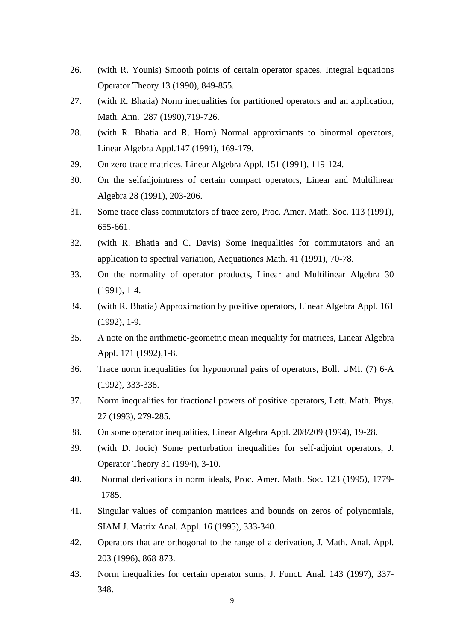- 26. (with R. Younis) Smooth points of certain operator spaces, Integral Equations Operator Theory 13 (1990), 849-855.
- 27. (with R. Bhatia) Norm inequalities for partitioned operators and an application, Math. Ann. 287 (1990),719-726.
- 28. (with R. Bhatia and R. Horn) Normal approximants to binormal operators, Linear Algebra Appl.147 (1991), 169-179.
- 29. On zero-trace matrices, Linear Algebra Appl. 151 (1991), 119-124.
- 30. On the selfadjointness of certain compact operators, Linear and Multilinear Algebra 28 (1991), 203-206.
- 31. Some trace class commutators of trace zero, Proc. Amer. Math. Soc. 113 (1991), 655-661.
- 32. (with R. Bhatia and C. Davis) Some inequalities for commutators and an application to spectral variation, Aequationes Math. 41 (1991), 70-78.
- 33. On the normality of operator products, Linear and Multilinear Algebra 30 (1991), 1-4.
- 34. (with R. Bhatia) Approximation by positive operators, Linear Algebra Appl. 161 (1992), 1-9.
- 35. A note on the arithmetic-geometric mean inequality for matrices, Linear Algebra Appl. 171 (1992), 1-8.
- 36. Trace norm inequalities for hyponormal pairs of operators, Boll. UMI. (7) 6-A (1992), 333-338.
- 37. Norm inequalities for fractional powers of positive operators, Lett. Math. Phys. 27 (1993), 279-285.
- 38. On some operator inequalities, Linear Algebra Appl. 208/209 (1994), 19-28.
- 39. (with D. Jocic) Some perturbation inequalities for self-adjoint operators, J. Operator Theory 31 (1994), 3-10.
- 40. Normal derivations in norm ideals, Proc. Amer. Math. Soc. 123 (1995), 1779- 1785.
- 41. Singular values of companion matrices and bounds on zeros of polynomials, SIAM J. Matrix Anal. Appl. 16 (1995), 333-340.
- 42. Operators that are orthogonal to the range of a derivation, J. Math. Anal. Appl. 203 (1996), 868-873.
- 43. Norm inequalities for certain operator sums, J. Funct. Anal. 143 (1997), 337- 348.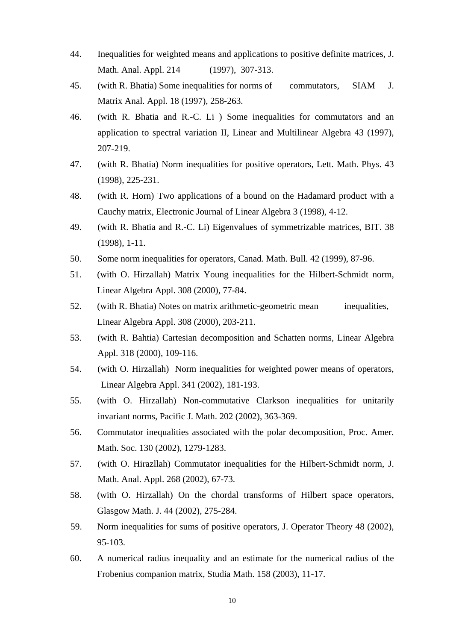- 44. Inequalities for weighted means and applications to positive definite matrices, J. Math. Anal. Appl. 214 (1997), 307-313.
- 45. (with R. Bhatia) Some inequalities for norms of commutators, SIAM J. Matrix Anal. Appl. 18 (1997), 258-263.
- 46. (with R. Bhatia and R.-C. Li ) Some inequalities for commutators and an application to spectral variation II, Linear and Multilinear Algebra 43 (1997), 207-219.
- 47. (with R. Bhatia) Norm inequalities for positive operators, Lett. Math. Phys. 43 (1998), 225-231.
- 48. (with R. Horn) Two applications of a bound on the Hadamard product with a Cauchy matrix, Electronic Journal of Linear Algebra 3 (1998), 4-12.
- 49. (with R. Bhatia and R.-C. Li) Eigenvalues of symmetrizable matrices, BIT. 38 (1998), 1-11.
- 50. Some norm inequalities for operators, Canad. Math. Bull. 42 (1999), 87-96.
- 51. (with O. Hirzallah) Matrix Young inequalities for the Hilbert-Schmidt norm, Linear Algebra Appl. 308 (2000), 77-84.
- 52. (with R. Bhatia) Notes on matrix arithmetic-geometric mean inequalities, Linear Algebra Appl. 308 (2000), 203-211.
- 53. (with R. Bahtia) Cartesian decomposition and Schatten norms, Linear Algebra Appl. 318 (2000), 109-116.
- 54. (with O. Hirzallah) Norm inequalities for weighted power means of operators, Linear Algebra Appl. 341 (2002), 181-193.
- 55. (with O. Hirzallah) Non-commutative Clarkson inequalities for unitarily invariant norms, Pacific J. Math. 202 (2002), 363-369.
- 56. Commutator inequalities associated with the polar decomposition, Proc. Amer. Math. Soc. 130 (2002), 1279-1283.
- 57. (with O. Hirazllah) Commutator inequalities for the Hilbert-Schmidt norm, J. Math. Anal. Appl. 268 (2002), 67-73.
- 58. (with O. Hirzallah) On the chordal transforms of Hilbert space operators, Glasgow Math. J. 44 (2002), 275-284.
- 59. Norm inequalities for sums of positive operators, J. Operator Theory 48 (2002), 95-103.
- 60. A numerical radius inequality and an estimate for the numerical radius of the Frobenius companion matrix, Studia Math. 158 (2003), 11-17.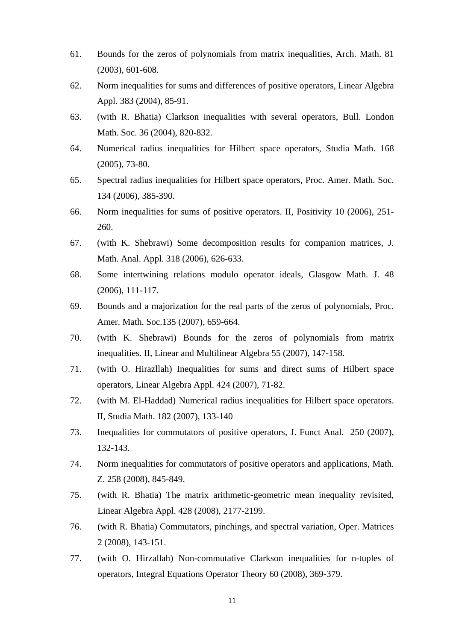- 61. Bounds for the zeros of polynomials from matrix inequalities, Arch. Math. 81 (2003), 601-608.
- 62. Norm inequalities for sums and differences of positive operators, Linear Algebra Appl. 383 (2004), 85-91.
- 63. (with R. Bhatia) Clarkson inequalities with several operators, Bull. London Math. Soc. 36 (2004), 820-832.
- 64. Numerical radius inequalities for Hilbert space operators, Studia Math. 168 (2005), 73-80.
- 65. Spectral radius inequalities for Hilbert space operators, Proc. Amer. Math. Soc. 134 (2006), 385-390.
- 66. Norm inequalities for sums of positive operators. II, Positivity 10 (2006), 251- 260.
- 67. (with K. Shebrawi) Some decomposition results for companion matrices, J. Math. Anal. Appl. 318 (2006), 626-633.
- 68. Some intertwining relations modulo operator ideals, Glasgow Math. J. 48 (2006), 111-117.
- 69. Bounds and a majorization for the real parts of the zeros of polynomials, Proc. Amer. Math. Soc.135 (2007), 659-664.
- 70. (with K. Shebrawi) Bounds for the zeros of polynomials from matrix inequalities. II, Linear and Multilinear Algebra 55 (2007), 147-158.
- 71. (with O. Hirazllah) Inequalities for sums and direct sums of Hilbert space operators, Linear Algebra Appl. 424 (2007), 71-82.
- 72. (with M. El-Haddad) Numerical radius inequalities for Hilbert space operators. II, Studia Math. 182 (2007), 133-140
- 73. Inequalities for commutators of positive operators, J. Funct Anal. 250 (2007), 132-143.
- 74. Norm inequalities for commutators of positive operators and applications, Math. Z. 258 (2008), 845-849.
- 75. (with R. Bhatia) The matrix arithmetic-geometric mean inequality revisited, Linear Algebra Appl. 428 (2008), 2177-2199.
- 76. (with R. Bhatia) Commutators, pinchings, and spectral variation, Oper. Matrices 2 (2008), 143-151.
- 77. (with O. Hirzallah) Non-commutative Clarkson inequalities for n-tuples of operators, Integral Equations Operator Theory 60 (2008), 369-379.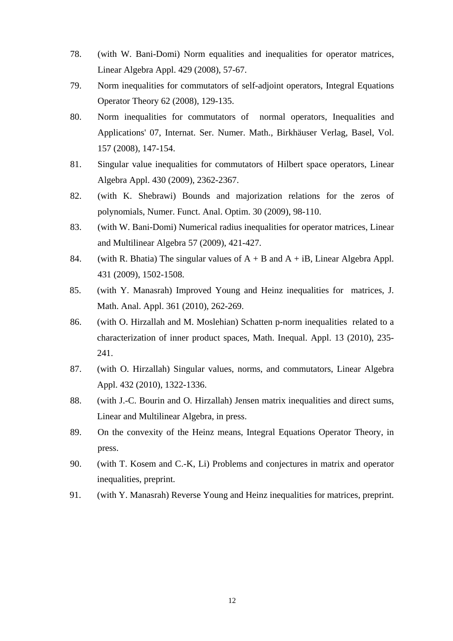- 78. (with W. Bani-Domi) Norm equalities and inequalities for operator matrices, Linear Algebra Appl. 429 (2008), 57-67.
- 79. Norm inequalities for commutators of self-adjoint operators, Integral Equations Operator Theory 62 (2008), 129-135.
- 80. Norm inequalities for commutators of normal operators, Inequalities and Applications' 07, Internat. Ser. Numer. Math., Birkhäuser Verlag, Basel, Vol. 157 (2008), 147-154.
- 81. Singular value inequalities for commutators of Hilbert space operators, Linear Algebra Appl. 430 (2009), 2362-2367.
- 82. (with K. Shebrawi) Bounds and majorization relations for the zeros of polynomials, Numer. Funct. Anal. Optim. 30 (2009), 98-110.
- 83. (with W. Bani-Domi) Numerical radius inequalities for operator matrices, Linear and Multilinear Algebra 57 (2009), 421-427.
- 84. (with R. Bhatia) The singular values of  $A + B$  and  $A + iB$ , Linear Algebra Appl. 431 (2009), 1502-1508.
- 85. (with Y. Manasrah) Improved Young and Heinz inequalities for matrices, J. Math. Anal. Appl. 361 (2010), 262-269.
- 86. (with O. Hirzallah and M. Moslehian) Schatten p-norm inequalities related to a characterization of inner product spaces, Math. Inequal. Appl. 13 (2010), 235- 241.
- 87. (with O. Hirzallah) Singular values, norms, and commutators, Linear Algebra Appl. 432 (2010), 1322-1336.
- 88. (with J.-C. Bourin and O. Hirzallah) Jensen matrix inequalities and direct sums, Linear and Multilinear Algebra, in press.
- 89. On the convexity of the Heinz means, Integral Equations Operator Theory, in press.
- 90. (with T. Kosem and C.-K, Li) Problems and conjectures in matrix and operator inequalities, preprint.
- 91. (with Y. Manasrah) Reverse Young and Heinz inequalities for matrices, preprint.